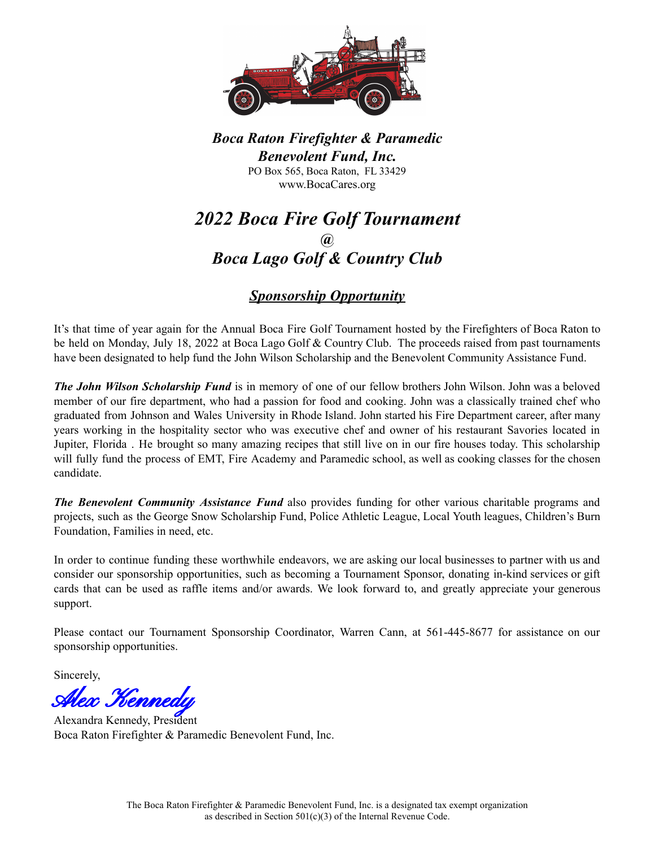

*Boca Raton Firefighter & Paramedic Benevolent Fund, Inc.* PO Box 565, Boca Raton, FL 33429 www.BocaCares.org

# *2022 Boca Fire Golf Tournament @ Boca Lago Golf & Country Club*

# *Sponsorship Opportunity*

It's that time of year again for the Annual Boca Fire Golf Tournament hosted by the Firefighters of Boca Raton to be held on Monday, July 18, 2022 at Boca Lago Golf & Country Club. The proceeds raised from past tournaments have been designated to help fund the John Wilson Scholarship and the Benevolent Community Assistance Fund.

*The John Wilson Scholarship Fund* is in memory of one of our fellow brothers John Wilson. John was a beloved member of our fire department, who had a passion for food and cooking. John was a classically trained chef who graduated from Johnson and Wales University in Rhode Island. John started his Fire Department career, after many years working in the hospitality sector who was executive chef and owner of his restaurant Savories located in Jupiter, Florida . He brought so many amazing recipes that still live on in our fire houses today. This scholarship will fully fund the process of EMT, Fire Academy and Paramedic school, as well as cooking classes for the chosen candidate.

*The Benevolent Community Assistance Fund* also provides funding for other various charitable programs and projects, such as the George Snow Scholarship Fund, Police Athletic League, Local Youth leagues, Children's Burn Foundation, Families in need, etc.

In order to continue funding these worthwhile endeavors, we are asking our local businesses to partner with us and consider our sponsorship opportunities, such as becoming a Tournament Sponsor, donating in-kind services or gift cards that can be used as raffle items and/or awards. We look forward to, and greatly appreciate your generous support.

Please contact our Tournament Sponsorship Coordinator, Warren Cann, at 561-445-8677 for assistance on our sponsorship opportunities.

Sincerely,

Alex Kennedy

Alexandra Kennedy, President Boca Raton Firefighter & Paramedic Benevolent Fund, Inc.